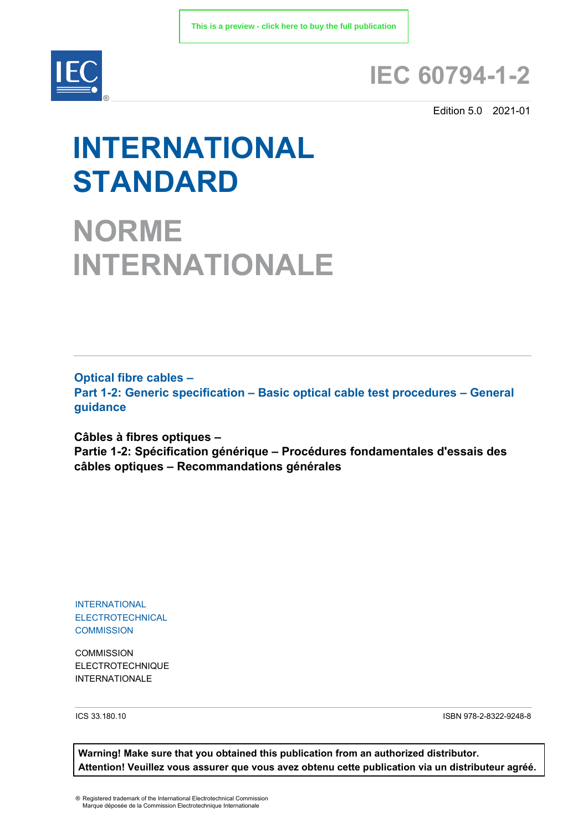

# **IEC 60794-1-2**

Edition 5.0 2021-01

# **INTERNATIONAL STANDARD**

**NORME INTERNATIONALE**

**Optical fibre cables –**

**Part 1-2: Generic specification – Basic optical cable test procedures – General guidance** 

**Câbles à fibres optiques –** 

**Partie 1-2: Spécification générique – Procédures fondamentales d'essais des câbles optiques – Recommandations générales** 

INTERNATIONAL ELECTROTECHNICAL **COMMISSION** 

**COMMISSION** ELECTROTECHNIQUE INTERNATIONALE

ICS 33.180.10 ISBN 978-2-8322-9248-8

**Warning! Make sure that you obtained this publication from an authorized distributor. Attention! Veuillez vous assurer que vous avez obtenu cette publication via un distributeur agréé.**

® Registered trademark of the International Electrotechnical Commission Marque déposée de la Commission Electrotechnique Internationale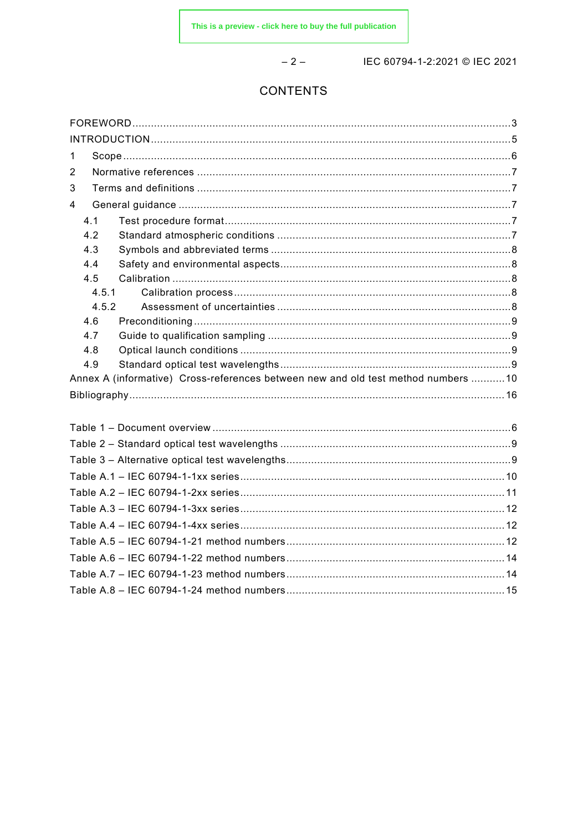$-2-$ 

IEC 60794-1-2:2021 © IEC 2021

# **CONTENTS**

| 1 |            |                                                                                   |  |
|---|------------|-----------------------------------------------------------------------------------|--|
| 2 |            |                                                                                   |  |
| 3 |            |                                                                                   |  |
| 4 |            |                                                                                   |  |
|   | 4.1        |                                                                                   |  |
|   | 4.2        |                                                                                   |  |
|   | 4.3        |                                                                                   |  |
|   | 4.4        |                                                                                   |  |
|   | 4.5        |                                                                                   |  |
|   | 4.5.1      |                                                                                   |  |
|   |            | 4.5.2                                                                             |  |
|   | 4.6        |                                                                                   |  |
|   | 4.7        |                                                                                   |  |
|   | 4.8<br>4.9 |                                                                                   |  |
|   |            | Annex A (informative) Cross-references between new and old test method numbers 10 |  |
|   |            |                                                                                   |  |
|   |            |                                                                                   |  |
|   |            |                                                                                   |  |
|   |            |                                                                                   |  |
|   |            |                                                                                   |  |
|   |            |                                                                                   |  |
|   |            |                                                                                   |  |
|   |            |                                                                                   |  |
|   |            |                                                                                   |  |
|   |            |                                                                                   |  |
|   |            |                                                                                   |  |
|   |            |                                                                                   |  |
|   |            |                                                                                   |  |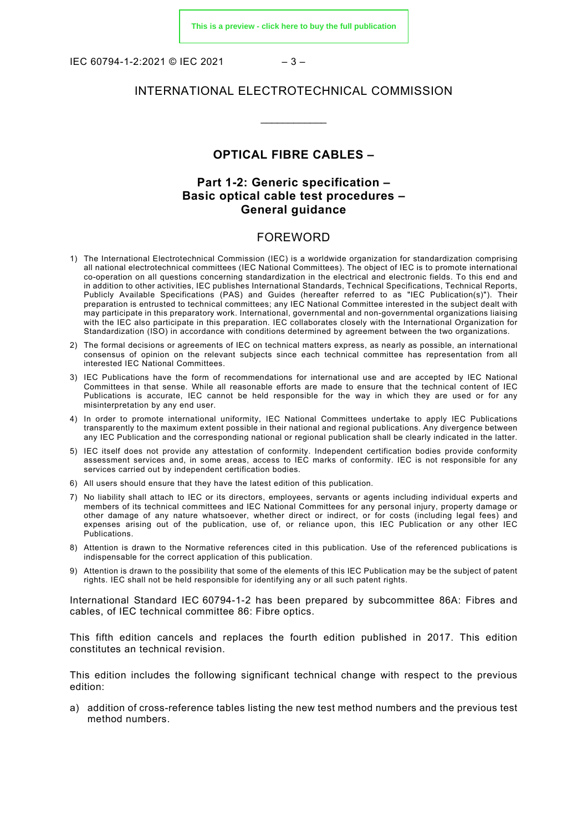IEC 60794-1-2:2021 © IEC 2021  $-3-$ 

#### INTERNATIONAL ELECTROTECHNICAL COMMISSION

\_\_\_\_\_\_\_\_\_\_\_\_

#### **OPTICAL FIBRE CABLES –**

# **Part 1-2: Generic specification – Basic optical cable test procedures – General guidance**

# FOREWORD

- <span id="page-2-0"></span>1) The International Electrotechnical Commission (IEC) is a worldwide organization for standardization comprising all national electrotechnical committees (IEC National Committees). The object of IEC is to promote international co-operation on all questions concerning standardization in the electrical and electronic fields. To this end and in addition to other activities, IEC publishes International Standards, Technical Specifications, Technical Reports, Publicly Available Specifications (PAS) and Guides (hereafter referred to as "IEC Publication(s)"). Their preparation is entrusted to technical committees; any IEC National Committee interested in the subject dealt with may participate in this preparatory work. International, governmental and non-governmental organizations liaising with the IEC also participate in this preparation. IEC collaborates closely with the International Organization for Standardization (ISO) in accordance with conditions determined by agreement between the two organizations.
- 2) The formal decisions or agreements of IEC on technical matters express, as nearly as possible, an international consensus of opinion on the relevant subjects since each technical committee has representation from all interested IEC National Committees.
- 3) IEC Publications have the form of recommendations for international use and are accepted by IEC National Committees in that sense. While all reasonable efforts are made to ensure that the technical content of IEC Publications is accurate, IEC cannot be held responsible for the way in which they are used or for any misinterpretation by any end user.
- 4) In order to promote international uniformity, IEC National Committees undertake to apply IEC Publications transparently to the maximum extent possible in their national and regional publications. Any divergence between any IEC Publication and the corresponding national or regional publication shall be clearly indicated in the latter.
- 5) IEC itself does not provide any attestation of conformity. Independent certification bodies provide conformity assessment services and, in some areas, access to IEC marks of conformity. IEC is not responsible for any services carried out by independent certification bodies.
- 6) All users should ensure that they have the latest edition of this publication.
- 7) No liability shall attach to IEC or its directors, employees, servants or agents including individual experts and members of its technical committees and IEC National Committees for any personal injury, property damage or other damage of any nature whatsoever, whether direct or indirect, or for costs (including legal fees) and expenses arising out of the publication, use of, or reliance upon, this IEC Publication or any other IEC Publications.
- 8) Attention is drawn to the Normative references cited in this publication. Use of the referenced publications is indispensable for the correct application of this publication.
- 9) Attention is drawn to the possibility that some of the elements of this IEC Publication may be the subject of patent rights. IEC shall not be held responsible for identifying any or all such patent rights.

International Standard IEC 60794-1-2 has been prepared by subcommittee 86A: Fibres and cables, of IEC technical committee 86: Fibre optics.

This fifth edition cancels and replaces the fourth edition published in 2017. This edition constitutes an technical revision.

This edition includes the following significant technical change with respect to the previous edition:

a) addition of cross-reference tables listing the new test method numbers and the previous test method numbers.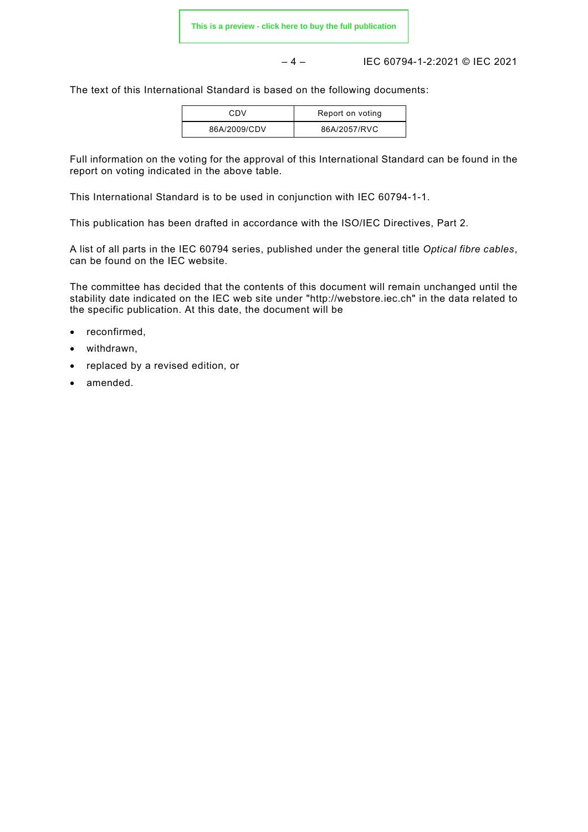– 4 – IEC 60794-1-2:2021 © IEC 2021

The text of this International Standard is based on the following documents:

| CDV          | Report on voting |
|--------------|------------------|
| 86A/2009/CDV | 86A/2057/RVC     |

Full information on the voting for the approval of this International Standard can be found in the report on voting indicated in the above table.

This International Standard is to be used in conjunction with IEC 60794-1-1.

This publication has been drafted in accordance with the ISO/IEC Directives, Part 2.

A list of all parts in the IEC 60794 series, published under the general title *Optical fibre cables*, can be found on the IEC website.

The committee has decided that the contents of this document will remain unchanged until the stability date indicated on the IEC web site under "http://webstore.iec.ch" in the data related to the specific publication. At this date, the document will be

- reconfirmed,
- withdrawn,
- replaced by a revised edition, or
- amended.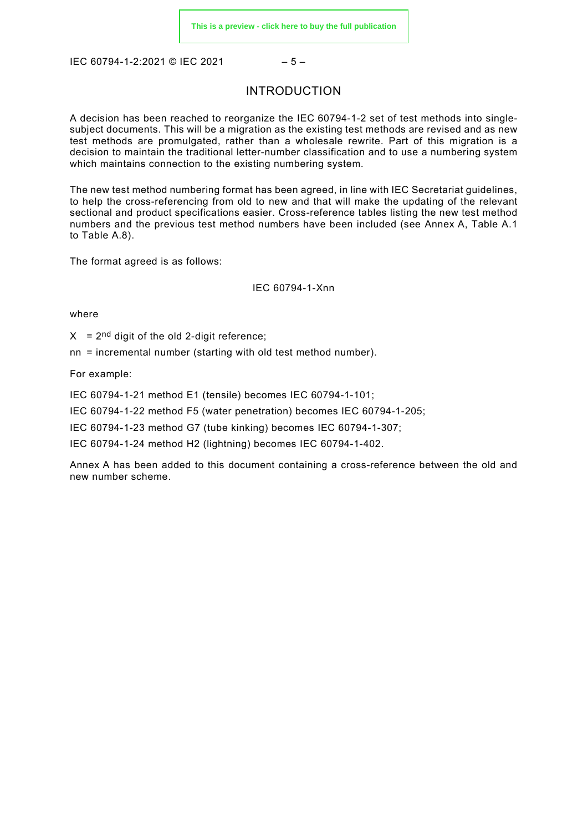<span id="page-4-0"></span>IEC 60794-1-2:2021 © IEC 2021 – 5 –

# INTRODUCTION

A decision has been reached to reorganize the IEC 60794-1-2 set of test methods into singlesubject documents. This will be a migration as the existing test methods are revised and as new test methods are promulgated, rather than a wholesale rewrite. Part of this migration is a decision to maintain the traditional letter-number classification and to use a numbering system which maintains connection to the existing numbering system.

The new test method numbering format has been agreed, in line with IEC Secretariat guidelines, to help the cross-referencing from old to new and that will make the updating of the relevant sectional and product specifications easier. Cross-reference tables listing the new test method numbers and the previous test method numbers have been included (see [Annex A,](#page--1-9) [Table A.1](#page--1-13) to [Table A.8\)](#page--1-10).

The format agreed is as follows:

#### IEC 60794-1-Xnn

where

 $X = 2<sup>nd</sup>$  digit of the old 2-digit reference;

nn = incremental number (starting with old test method number).

For example:

IEC 60794-1-21 method E1 (tensile) becomes IEC 60794-1-101;

IEC 60794-1-22 method F5 (water penetration) becomes IEC 60794-1-205;

IEC 60794-1-23 method G7 (tube kinking) becomes IEC 60794-1-307;

IEC 60794-1-24 method H2 (lightning) becomes IEC 60794-1-402.

[Annex A](#page--1-9) has been added to this document containing a cross-reference between the old and new number scheme.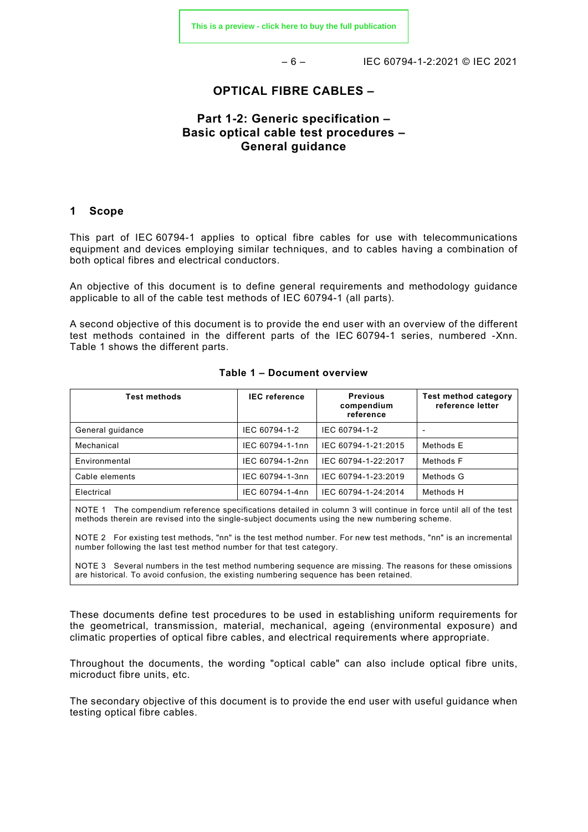– 6 – IEC 60794-1-2:2021 © IEC 2021

## **OPTICAL FIBRE CABLES –**

# **Part 1-2: Generic specification – Basic optical cable test procedures – General guidance**

#### <span id="page-5-0"></span>**1 Scope**

This part of IEC 60794-1 applies to optical fibre cables for use with telecommunications equipment and devices employing similar techniques, and to cables having a combination of both optical fibres and electrical conductors.

An objective of this document is to define general requirements and methodology guidance applicable to all of the cable test methods of IEC 60794-1 (all parts).

A second objective of this document is to provide the end user with an overview of the different test methods contained in the different parts of the IEC 60794-1 series, numbered -Xnn. [Table 1](#page-5-1) shows the different parts.

<span id="page-5-1"></span>

| <b>Test methods</b> | <b>IEC</b> reference | <b>Previous</b><br>compendium<br>reference | <b>Test method category</b><br>reference letter |
|---------------------|----------------------|--------------------------------------------|-------------------------------------------------|
| General guidance    | IEC 60794-1-2        | IEC 60794-1-2                              | $\overline{\phantom{0}}$                        |
| Mechanical          | IEC 60794-1-1nn      | IEC 60794-1-21:2015                        | Methods E                                       |
| Environmental       | IEC 60794-1-2nn      | IEC 60794-1-22:2017                        | Methods F                                       |
| Cable elements      | IEC 60794-1-3nn      | IEC 60794-1-23:2019                        | Methods G                                       |
| Electrical          | IEC 60794-1-4nn      | IEC 60794-1-24:2014                        | Methods H                                       |

#### **Table 1 – Document overview**

NOTE 1 The compendium reference specifications detailed in column 3 will continue in force until all of the test methods therein are revised into the single-subject documents using the new numbering scheme.

NOTE 2 For existing test methods, "nn" is the test method number. For new test methods, "nn" is an incremental number following the last test method number for that test category.

NOTE 3 Several numbers in the test method numbering sequence are missing. The reasons for these omissions are historical. To avoid confusion, the existing numbering sequence has been retained.

These documents define test procedures to be used in establishing uniform requirements for the geometrical, transmission, material, mechanical, ageing (environmental exposure) and climatic properties of optical fibre cables, and electrical requirements where appropriate.

Throughout the documents, the wording "optical cable" can also include optical fibre units, microduct fibre units, etc.

The secondary objective of this document is to provide the end user with useful guidance when testing optical fibre cables.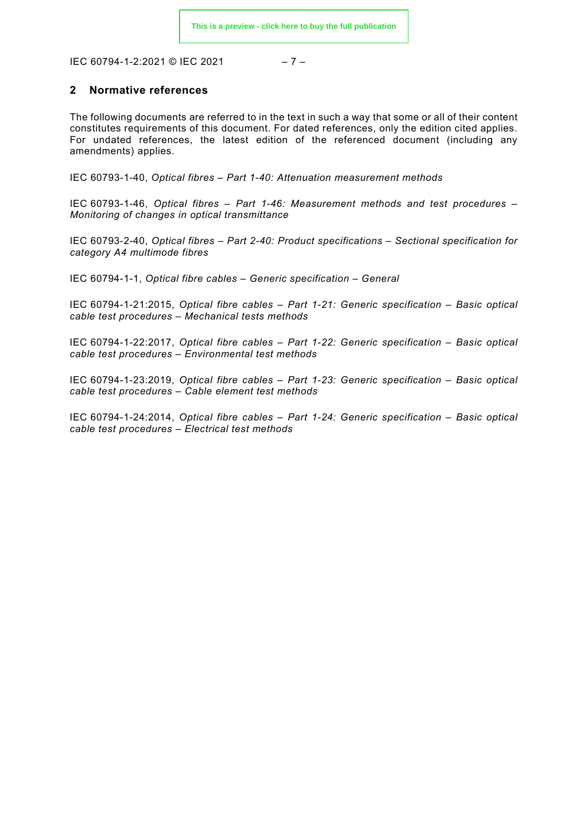IEC 60794-1-2:2021 © IEC 2021 – 7 –

#### <span id="page-6-0"></span>**2 Normative references**

The following documents are referred to in the text in such a way that some or all of their content constitutes requirements of this document. For dated references, only the edition cited applies. For undated references, the latest edition of the referenced document (including any amendments) applies.

IEC 60793-1-40, *Optical fibres – Part 1-40: Attenuation measurement methods*

IEC 60793-1-46, *Optical fibres – Part 1-46: Measurement methods and test procedures – Monitoring of changes in optical transmittance*

IEC 60793-2-40, *Optical fibres – Part 2-40: Product specifications – Sectional specification for category A4 multimode fibres*

IEC 60794-1-1, *Optical fibre cables – Generic specification – General*

IEC 60794-1-21:2015, *Optical fibre cables – Part 1-21: Generic specification – Basic optical cable test procedures – Mechanical tests methods*

IEC 60794-1-22:2017, *Optical fibre cables – Part 1-22: Generic specification – Basic optical cable test procedures – Environmental test methods*

IEC 60794-1-23:2019, *Optical fibre cables – Part 1-23: Generic specification – Basic optical cable test procedures – Cable element test methods*

<span id="page-6-4"></span><span id="page-6-3"></span><span id="page-6-2"></span><span id="page-6-1"></span>IEC 60794-1-24:2014, *Optical fibre cables – Part 1-24: Generic specification – Basic optical cable test procedures – Electrical test methods*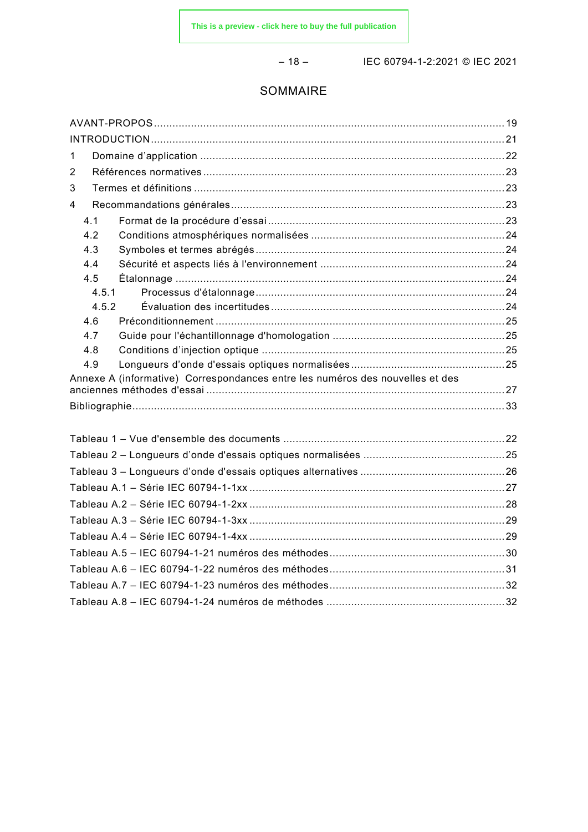$-18-$ 

IEC 60794-1-2:2021 © IEC 2021

# SOMMAIRE

| 1                                                                             |  |
|-------------------------------------------------------------------------------|--|
| 2                                                                             |  |
| 3                                                                             |  |
| 4                                                                             |  |
| 4.1                                                                           |  |
| 4.2                                                                           |  |
| 4.3                                                                           |  |
| 4.4                                                                           |  |
| 4.5                                                                           |  |
| 4.5.1                                                                         |  |
| 4.5.2                                                                         |  |
| 4.6                                                                           |  |
| 4.7                                                                           |  |
| 4.8                                                                           |  |
| 4.9                                                                           |  |
| Annexe A (informative) Correspondances entre les numéros des nouvelles et des |  |
|                                                                               |  |
|                                                                               |  |
|                                                                               |  |
|                                                                               |  |
|                                                                               |  |
|                                                                               |  |
|                                                                               |  |
|                                                                               |  |
|                                                                               |  |
|                                                                               |  |
|                                                                               |  |
|                                                                               |  |
|                                                                               |  |
|                                                                               |  |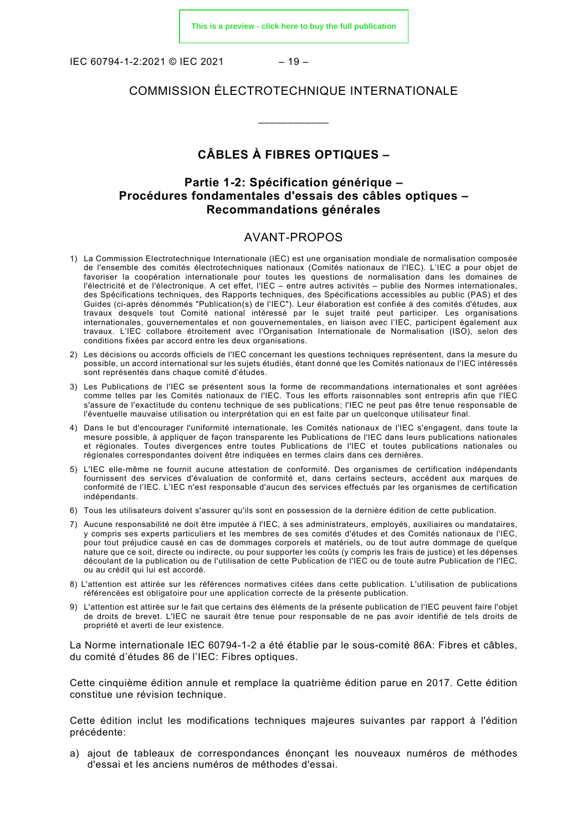IEC 60794-1-2:2021 © IEC 2021 – 19 –

# COMMISSION ÉLECTROTECHNIQUE INTERNATIONALE

\_\_\_\_\_\_\_\_\_\_\_\_

# **CÂBLES À FIBRES OPTIQUES –**

# **Partie 1-2: Spécification générique – Procédures fondamentales d'essais des câbles optiques – Recommandations générales**

# AVANT-PROPOS

- <span id="page-8-0"></span>1) La Commission Electrotechnique Internationale (IEC) est une organisation mondiale de normalisation composée de l'ensemble des comités électrotechniques nationaux (Comités nationaux de l'IEC). L'IEC a pour objet de favoriser la coopération internationale pour toutes les questions de normalisation dans les domaines de l'électricité et de l'électronique. A cet effet, l'IEC – entre autres activités – publie des Normes internationales, des Spécifications techniques, des Rapports techniques, des Spécifications accessibles au public (PAS) et des Guides (ci-après dénommés "Publication(s) de l'IEC"). Leur élaboration est confiée à des comités d'études, aux travaux desquels tout Comité national intéressé par le sujet traité peut participer. Les organisations internationales, gouvernementales et non gouvernementales, en liaison avec l'IEC, participent également aux travaux. L'IEC collabore étroitement avec l'Organisation Internationale de Normalisation (ISO), selon des conditions fixées par accord entre les deux organisations.
- 2) Les décisions ou accords officiels de l'IEC concernant les questions techniques représentent, dans la mesure du possible, un accord international sur les sujets étudiés, étant donné que les Comités nationaux de l'IEC intéressés sont représentés dans chaque comité d'études.
- 3) Les Publications de l'IEC se présentent sous la forme de recommandations internationales et sont agréées comme telles par les Comités nationaux de l'IEC. Tous les efforts raisonnables sont entrepris afin que l'IEC s'assure de l'exactitude du contenu technique de ses publications; l'IEC ne peut pas être tenue responsable de l'éventuelle mauvaise utilisation ou interprétation qui en est faite par un quelconque utilisateur final.
- 4) Dans le but d'encourager l'uniformité internationale, les Comités nationaux de l'IEC s'engagent, dans toute la mesure possible, à appliquer de façon transparente les Publications de l'IEC dans leurs publications nationales et régionales. Toutes divergences entre toutes Publications de l'IEC et toutes publications nationales ou régionales correspondantes doivent être indiquées en termes clairs dans ces dernières.
- 5) L'IEC elle-même ne fournit aucune attestation de conformité. Des organismes de certification indépendants fournissent des services d'évaluation de conformité et, dans certains secteurs, accèdent aux marques de conformité de l'IEC. L'IEC n'est responsable d'aucun des services effectués par les organismes de certification indépendants.
- 6) Tous les utilisateurs doivent s'assurer qu'ils sont en possession de la dernière édition de cette publication.
- 7) Aucune responsabilité ne doit être imputée à l'IEC, à ses administrateurs, employés, auxiliaires ou mandataires, y compris ses experts particuliers et les membres de ses comités d'études et des Comités nationaux de l'IEC, pour tout préjudice causé en cas de dommages corporels et matériels, ou de tout autre dommage de quelque nature que ce soit, directe ou indirecte, ou pour supporter les coûts (y compris les frais de justice) et les dépenses découlant de la publication ou de l'utilisation de cette Publication de l'IEC ou de toute autre Publication de l'IEC, ou au crédit qui lui est accordé.
- 8) L'attention est attirée sur les références normatives citées dans cette publication. L'utilisation de publications référencées est obligatoire pour une application correcte de la présente publication.
- 9) L'attention est attirée sur le fait que certains des éléments de la présente publication de l'IEC peuvent faire l'objet de droits de brevet. L'IEC ne saurait être tenue pour responsable de ne pas avoir identifié de tels droits de propriété et averti de leur existence.

La Norme internationale IEC 60794-1-2 a été établie par le sous-comité 86A: Fibres et câbles, du comité d'études 86 de l'IEC: Fibres optiques.

Cette cinquième édition annule et remplace la quatrième édition parue en 2017. Cette édition constitue une révision technique.

Cette édition inclut les modifications techniques majeures suivantes par rapport à l'édition précédente:

a) ajout de tableaux de correspondances énonçant les nouveaux numéros de méthodes d'essai et les anciens numéros de méthodes d'essai.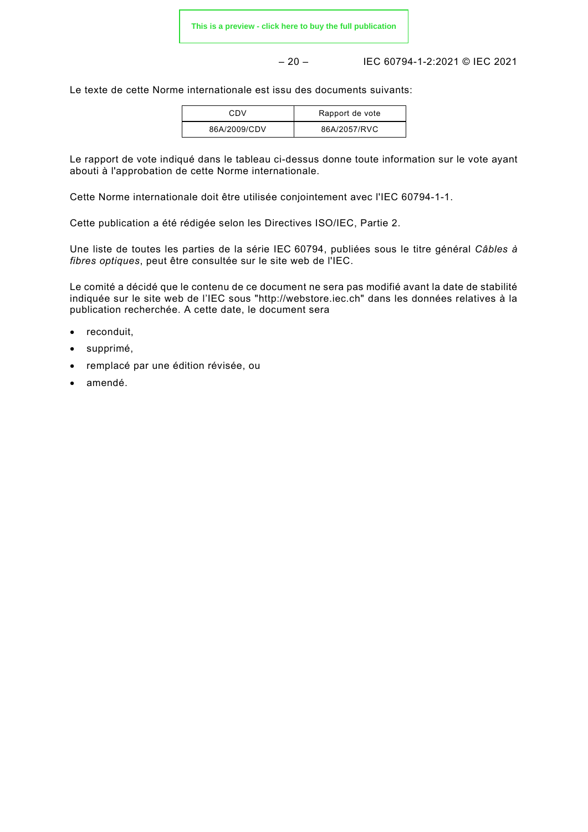– 20 – IEC 60794-1-2:2021 © IEC 2021

Le texte de cette Norme internationale est issu des documents suivants:

| CDV          | Rapport de vote |
|--------------|-----------------|
| 86A/2009/CDV | 86A/2057/RVC    |

Le rapport de vote indiqué dans le tableau ci-dessus donne toute information sur le vote ayant abouti à l'approbation de cette Norme internationale.

Cette Norme internationale doit être utilisée conjointement avec l'IEC 60794-1-1.

Cette publication a été rédigée selon les Directives ISO/IEC, Partie 2.

Une liste de toutes les parties de la série IEC 60794, publiées sous le titre général *Câbles à fibres optiques*, peut être consultée sur le site web de l'IEC.

Le comité a décidé que le contenu de ce document ne sera pas modifié avant la date de stabilité indiquée sur le site web de l'IEC sous "http://webstore.iec.ch" dans les données relatives à la publication recherchée. A cette date, le document sera

- reconduit,
- supprimé,
- remplacé par une édition révisée, ou
- amendé.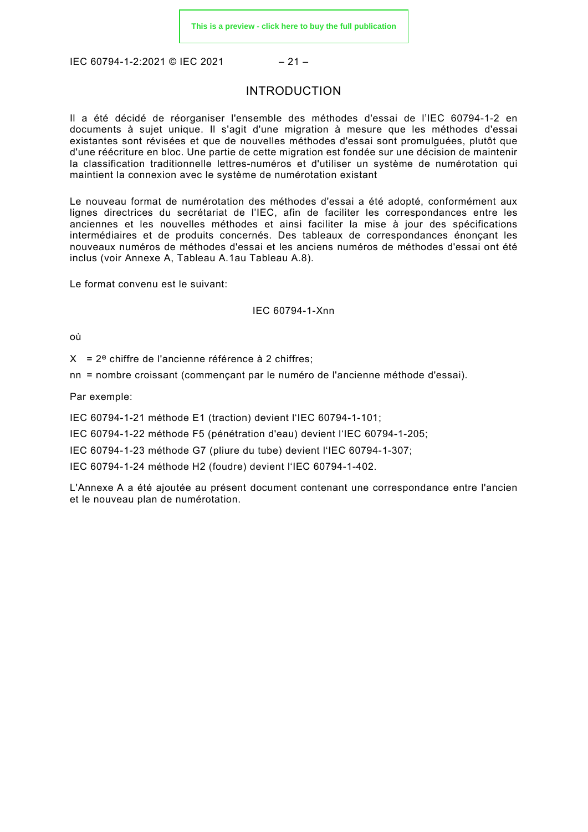<span id="page-10-0"></span>IEC 60794-1-2:2021 © IEC 2021 – 21 –

# INTRODUCTION

Il a été décidé de réorganiser l'ensemble des méthodes d'essai de l'IEC 60794-1-2 en documents à sujet unique. Il s'agit d'une migration à mesure que les méthodes d'essai existantes sont révisées et que de nouvelles méthodes d'essai sont promulguées, plutôt que d'une réécriture en bloc. Une partie de cette migration est fondée sur une décision de maintenir la classification traditionnelle lettres-numéros et d'utiliser un système de numérotation qui maintient la connexion avec le système de numérotation existant

Le nouveau format de numérotation des méthodes d'essai a été adopté, conformément aux lignes directrices du secrétariat de l'IEC, afin de faciliter les correspondances entre les anciennes et les nouvelles méthodes et ainsi faciliter la mise à jour des spécifications intermédiaires et de produits concernés. Des tableaux de correspondances énonçant les nouveaux numéros de méthodes d'essai et les anciens numéros de méthodes d'essai ont été inclus (voir [Annexe A,](#page--1-9) [Tableau A.1a](#page--1-29)u [Tableau A.8\)](#page--1-34).

Le format convenu est le suivant:

#### IEC 60794-1-Xnn

où

 $X = 2^e$  chiffre de l'ancienne référence à 2 chiffres;

nn = nombre croissant (commençant par le numéro de l'ancienne méthode d'essai).

Par exemple:

IEC 60794-1-21 méthode E1 (traction) devient l'IEC 60794-1-101;

IEC 60794-1-22 méthode F5 (pénétration d'eau) devient l'IEC 60794-1-205;

IEC 60794-1-23 méthode G7 (pliure du tube) devient l'IEC 60794-1-307;

IEC 60794-1-24 méthode H2 (foudre) devient l'IEC 60794-1-402.

L['Annexe A](#page--1-9) a été ajoutée au présent document contenant une correspondance entre l'ancien et le nouveau plan de numérotation.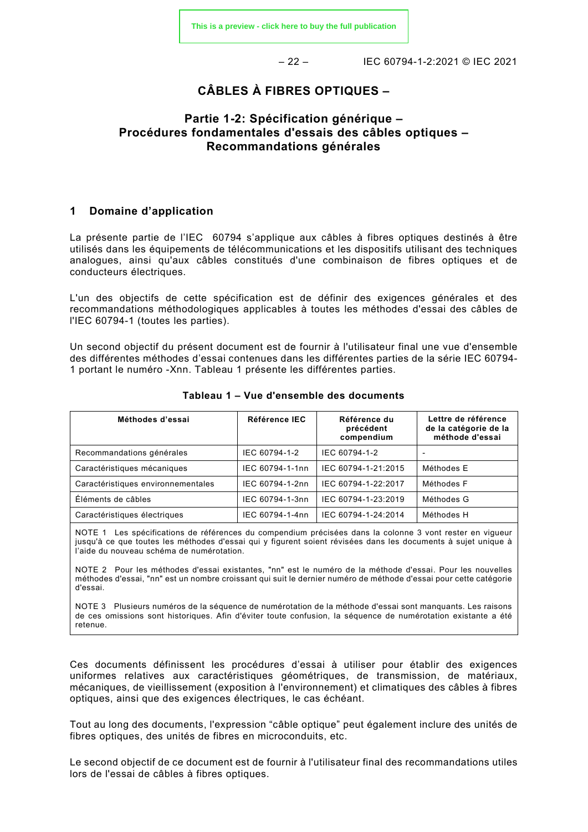– 22 – IEC 60794-1-2:2021 © IEC 2021

# **CÂBLES À FIBRES OPTIQUES –**

# **Partie 1-2: Spécification générique – Procédures fondamentales d'essais des câbles optiques – Recommandations générales**

#### <span id="page-11-0"></span>**1 Domaine d'application**

La présente partie de l'IEC 60794 s'applique aux câbles à fibres optiques destinés à être utilisés dans les équipements de télécommunications et les dispositifs utilisant des techniques analogues, ainsi qu'aux câbles constitués d'une combinaison de fibres optiques et de conducteurs électriques.

L'un des objectifs de cette spécification est de définir des exigences générales et des recommandations méthodologiques applicables à toutes les méthodes d'essai des câbles de l'IEC 60794-1 (toutes les parties).

Un second objectif du présent document est de fournir à l'utilisateur final une vue d'ensemble des différentes méthodes d'essai contenues dans les différentes parties de la série IEC 60794- 1 portant le numéro -Xnn. [Tableau 1](#page-11-1) présente les différentes parties.

<span id="page-11-1"></span>

| Méthodes d'essai                   | Référence IEC   | Référence du<br>précédent<br>compendium | Lettre de référence<br>de la catégorie de la<br>méthode d'essai |
|------------------------------------|-----------------|-----------------------------------------|-----------------------------------------------------------------|
| Recommandations générales          | IEC 60794-1-2   | IEC 60794-1-2                           |                                                                 |
| Caractéristiques mécaniques        | IEC 60794-1-1nn | IEC 60794-1-21:2015                     | Méthodes E                                                      |
| Caractéristiques environnementales | IEC 60794-1-2nn | IEC 60794-1-22:2017                     | Méthodes F                                                      |
| Éléments de câbles                 | IEC 60794-1-3nn | IEC 60794-1-23:2019                     | Méthodes G                                                      |
| Caractéristiques électriques       | IEC 60794-1-4nn | IEC 60794-1-24:2014                     | Méthodes H                                                      |

**Tableau 1 – Vue d'ensemble des documents**

NOTE 1 Les spécifications de références du compendium précisées dans la colonne 3 vont rester en vigueur jusqu'à ce que toutes les méthodes d'essai qui y figurent soient révisées dans les documents à sujet unique à l'aide du nouveau schéma de numérotation.

NOTE 2 Pour les méthodes d'essai existantes, "nn" est le numéro de la méthode d'essai. Pour les nouvelles méthodes d'essai, "nn" est un nombre croissant qui suit le dernier numéro de méthode d'essai pour cette catégorie d'essai.

NOTE 3 Plusieurs numéros de la séquence de numérotation de la méthode d'essai sont manquants. Les raisons de ces omissions sont historiques. Afin d'éviter toute confusion, la séquence de numérotation existante a été retenue.

Ces documents définissent les procédures d'essai à utiliser pour établir des exigences uniformes relatives aux caractéristiques géométriques, de transmission, de matériaux, mécaniques, de vieillissement (exposition à l'environnement) et climatiques des câbles à fibres optiques, ainsi que des exigences électriques, le cas échéant.

Tout au long des documents, l'expression "câble optique" peut également inclure des unités de fibres optiques, des unités de fibres en microconduits, etc.

Le second objectif de ce document est de fournir à l'utilisateur final des recommandations utiles lors de l'essai de câbles à fibres optiques.